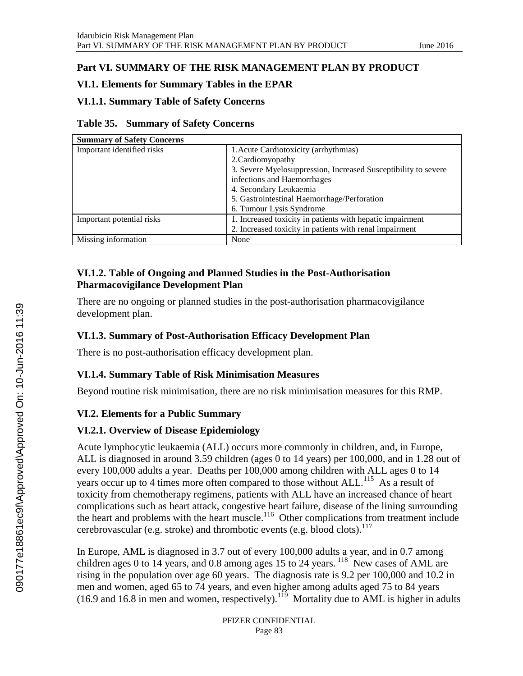# **Part VI. SUMMARY OF THE RISK MANAGEMENT PLAN BY PRODUCT**

### **VI.1. Elements for Summary Tables in the EPAR**

### **VI.1.1. Summary Table of Safety Concerns**

|  | Table 35. Summary of Safety Concerns |  |  |
|--|--------------------------------------|--|--|
|--|--------------------------------------|--|--|

| <b>Summary of Safety Concerns</b> |                                                                |  |
|-----------------------------------|----------------------------------------------------------------|--|
| Important identified risks        | 1. Acute Cardiotoxicity (arrhythmias)                          |  |
|                                   | 2. Cardiomy opathy                                             |  |
|                                   | 3. Severe Myelosuppression, Increased Susceptibility to severe |  |
|                                   | infections and Haemorrhages                                    |  |
|                                   | 4. Secondary Leukaemia                                         |  |
|                                   | 5. Gastrointestinal Haemorrhage/Perforation                    |  |
|                                   | 6. Tumour Lysis Syndrome                                       |  |
| Important potential risks         | 1. Increased toxicity in patients with hepatic impairment      |  |
|                                   | 2. Increased toxicity in patients with renal impairment        |  |
| Missing information               | None                                                           |  |

#### **VI.1.2. Table of Ongoing and Planned Studies in the Post-Authorisation Pharmacovigilance Development Plan**

There are no ongoing or planned studies in the post-authorisation pharmacovigilance development plan.

### **VI.1.3. Summary of Post-Authorisation Efficacy Development Plan**

There is no post-authorisation efficacy development plan.

# **VI.1.4. Summary Table of Risk Minimisation Measures**

Beyond routine risk minimisation, there are no risk minimisation measures for this RMP.

# **VI.2. Elements for a Public Summary**

# **VI.2.1. Overview of Disease Epidemiology**

Acute lymphocytic leukaemia (ALL) occurs more commonly in children, and, in Europe, ALL is diagnosed in around 3.59 children (ages 0 to 14 years) per 100,000, and in 1.28 out of every 100,000 adults a year. Deaths per 100,000 among children with ALL ages 0 to 14 years occur up to 4 times more often compared to those without ALL.<sup>115</sup> As a result of toxicity from chemotherapy regimens, patients with ALL have an increased chance of heart complications such as heart attack, congestive heart failure, disease of the lining surrounding the heart and problems with the heart muscle.<sup>116</sup> Other complications from treatment include cerebrovascular (e.g. stroke) and thrombotic events (e.g. blood clots). 117

In Europe, AML is diagnosed in 3.7 out of every 100,000 adults a year, and in 0.7 among children ages 0 to 14 years, and 0.8 among ages 15 to 24 years.  $^{118}$  New cases of AML are rising in the population over age 60 years. The diagnosis rate is 9.2 per 100,000 and 10.2 in men and women, aged 65 to 74 years, and even higher among adults aged 75 to 84 years (16.9 and 16.8 in men and women, respectively).  $1^{19}$  Mortality due to AML is higher in adults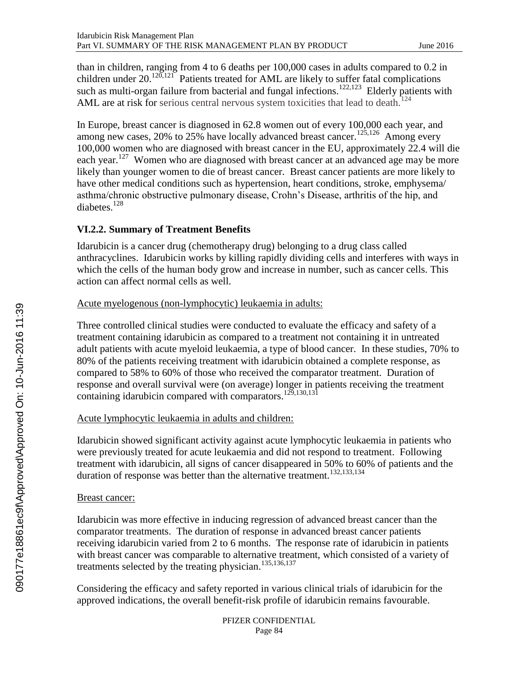than in children, ranging from 4 to 6 deaths per 100,000 cases in adults compared to 0.2 in children under  $20.120,121$  Patients treated for AML are likely to suffer fatal complications such as multi-organ failure from bacterial and fungal infections.<sup>122,123</sup> Elderly patients with AML are at risk for serious central nervous system toxicities that lead to death.<sup>124</sup>

In Europe, breast cancer is diagnosed in 62.8 women out of every 100,000 each year, and among new cases, 20% to 25% have locally advanced breast cancer.<sup>125,126</sup> Among every 100,000 women who are diagnosed with breast cancer in the EU, approximately 22.4 will die each year.<sup>127</sup> Women who are diagnosed with breast cancer at an advanced age may be more likely than younger women to die of breast cancer. Breast cancer patients are more likely to have other medical conditions such as hypertension, heart conditions, stroke, emphysema/ asthma/chronic obstructive pulmonary disease, Crohn's Disease, arthritis of the hip, and diabetes.<sup>128</sup>

### **VI.2.2. Summary of Treatment Benefits**

Idarubicin is a cancer drug (chemotherapy drug) belonging to a drug class called anthracyclines. Idarubicin works by killing rapidly dividing cells and interferes with ways in which the cells of the human body grow and increase in number, such as cancer cells. This action can affect normal cells as well.

#### Acute myelogenous (non-lymphocytic) leukaemia in adults:

Three controlled clinical studies were conducted to evaluate the efficacy and safety of a treatment containing idarubicin as compared to a treatment not containing it in untreated adult patients with acute myeloid leukaemia, a type of blood cancer. In these studies, 70% to 80% of the patients receiving treatment with idarubicin obtained a complete response, as compared to 58% to 60% of those who received the comparator treatment. Duration of response and overall survival were (on average) longer in patients receiving the treatment containing idarubicin compared with comparators.<sup>129,130,131</sup>

#### Acute lymphocytic leukaemia in adults and children:

Idarubicin showed significant activity against acute lymphocytic leukaemia in patients who were previously treated for acute leukaemia and did not respond to treatment. Following treatment with idarubicin, all signs of cancer disappeared in 50% to 60% of patients and the duration of response was better than the alternative treatment.<sup>132,133,134</sup>

#### Breast cancer:

Idarubicin was more effective in inducing regression of advanced breast cancer than the comparator treatments. The duration of response in advanced breast cancer patients receiving idarubicin varied from 2 to 6 months. The response rate of idarubicin in patients with breast cancer was comparable to alternative treatment, which consisted of a variety of treatments selected by the treating physician.135,136,137

Considering the efficacy and safety reported in various clinical trials of idarubicin for the approved indications, the overall benefit-risk profile of idarubicin remains favourable.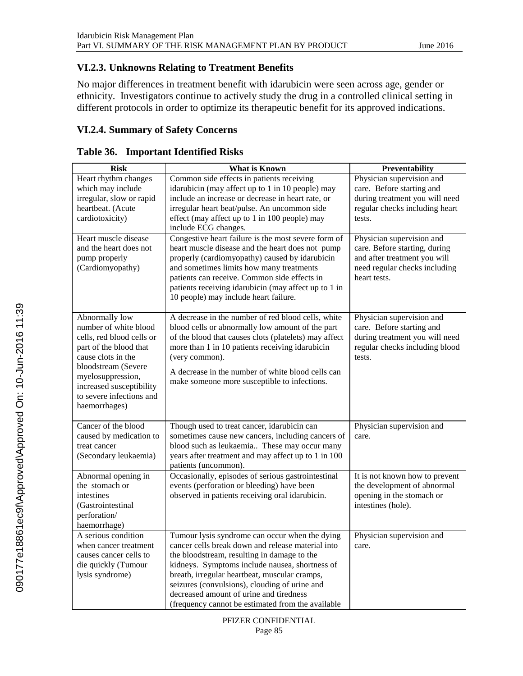### **VI.2.3. Unknowns Relating to Treatment Benefits**

No major differences in treatment benefit with idarubicin were seen across age, gender or ethnicity. Investigators continue to actively study the drug in a controlled clinical setting in different protocols in order to optimize its therapeutic benefit for its approved indications.

# **VI.2.4. Summary of Safety Concerns**

| <b>Risk</b>                                                                                                                                                                                                                               | <b>What is Known</b>                                                                                                                                                                                                                                                                                                                                                                                   | Preventability                                                                                                                              |
|-------------------------------------------------------------------------------------------------------------------------------------------------------------------------------------------------------------------------------------------|--------------------------------------------------------------------------------------------------------------------------------------------------------------------------------------------------------------------------------------------------------------------------------------------------------------------------------------------------------------------------------------------------------|---------------------------------------------------------------------------------------------------------------------------------------------|
| Heart rhythm changes<br>which may include                                                                                                                                                                                                 | Common side effects in patients receiving<br>idarubicin (may affect up to 1 in 10 people) may                                                                                                                                                                                                                                                                                                          | Physician supervision and<br>care. Before starting and                                                                                      |
| irregular, slow or rapid                                                                                                                                                                                                                  | include an increase or decrease in heart rate, or                                                                                                                                                                                                                                                                                                                                                      | during treatment you will need                                                                                                              |
| heartbeat. (Acute                                                                                                                                                                                                                         | irregular heart beat/pulse. An uncommon side                                                                                                                                                                                                                                                                                                                                                           | regular checks including heart                                                                                                              |
| cardiotoxicity)                                                                                                                                                                                                                           | effect (may affect up to 1 in 100 people) may                                                                                                                                                                                                                                                                                                                                                          | tests.                                                                                                                                      |
| Heart muscle disease<br>and the heart does not<br>pump properly<br>(Cardiomyopathy)                                                                                                                                                       | include ECG changes.<br>Congestive heart failure is the most severe form of<br>heart muscle disease and the heart does not pump<br>properly (cardiomyopathy) caused by idarubicin<br>and sometimes limits how many treatments<br>patients can receive. Common side effects in<br>patients receiving idarubicin (may affect up to 1 in<br>10 people) may include heart failure.                         | Physician supervision and<br>care. Before starting, during<br>and after treatment you will<br>need regular checks including<br>heart tests. |
| Abnormally low<br>number of white blood<br>cells, red blood cells or<br>part of the blood that<br>cause clots in the<br>bloodstream (Severe<br>myelosuppression,<br>increased susceptibility<br>to severe infections and<br>haemorrhages) | A decrease in the number of red blood cells, white<br>blood cells or abnormally low amount of the part<br>of the blood that causes clots (platelets) may affect<br>more than 1 in 10 patients receiving idarubicin<br>(very common).<br>A decrease in the number of white blood cells can<br>make someone more susceptible to infections.                                                              | Physician supervision and<br>care. Before starting and<br>during treatment you will need<br>regular checks including blood<br>tests.        |
| Cancer of the blood<br>caused by medication to<br>treat cancer<br>(Secondary leukaemia)                                                                                                                                                   | Though used to treat cancer, idarubicin can<br>sometimes cause new cancers, including cancers of<br>blood such as leukaemia These may occur many<br>years after treatment and may affect up to 1 in 100<br>patients (uncommon).                                                                                                                                                                        | Physician supervision and<br>care.                                                                                                          |
| Abnormal opening in<br>the stomach or<br>intestines<br>(Gastrointestinal<br>perforation/<br>haemorrhage)                                                                                                                                  | Occasionally, episodes of serious gastrointestinal<br>events (perforation or bleeding) have been<br>observed in patients receiving oral idarubicin.                                                                                                                                                                                                                                                    | It is not known how to prevent<br>the development of abnormal<br>opening in the stomach or<br>intestines (hole).                            |
| A serious condition<br>when cancer treatment<br>causes cancer cells to<br>die quickly (Tumour<br>lysis syndrome)                                                                                                                          | Tumour lysis syndrome can occur when the dying<br>cancer cells break down and release material into<br>the bloodstream, resulting in damage to the<br>kidneys. Symptoms include nausea, shortness of<br>breath, irregular heartbeat, muscular cramps,<br>seizures (convulsions), clouding of urine and<br>decreased amount of urine and tiredness<br>(frequency cannot be estimated from the available | Physician supervision and<br>care.                                                                                                          |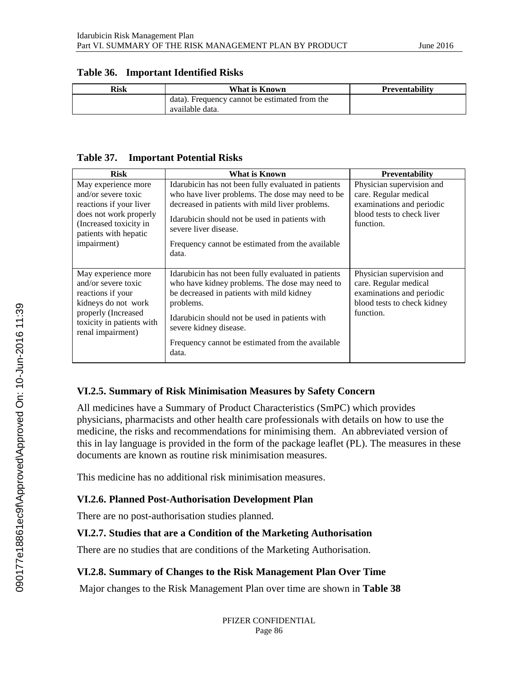| Risk | What is Known                                                    | <b>Preventability</b> |
|------|------------------------------------------------------------------|-----------------------|
|      | data). Frequency cannot be estimated from the<br>available data. |                       |

#### **Table 36. Important Identified Risks**

#### **Table 37. Important Potential Risks**

| <b>Risk</b>                                                                                                                                                       | What is Known                                                                                                                                                                                                                                                                                            | <b>Preventability</b>                                                                                                       |  |
|-------------------------------------------------------------------------------------------------------------------------------------------------------------------|----------------------------------------------------------------------------------------------------------------------------------------------------------------------------------------------------------------------------------------------------------------------------------------------------------|-----------------------------------------------------------------------------------------------------------------------------|--|
| May experience more<br>and/or severe toxic<br>reactions if your liver<br>does not work properly<br>(Increased toxicity in<br>patients with hepatic<br>impairment) | Idarubicin has not been fully evaluated in patients<br>who have liver problems. The dose may need to be<br>decreased in patients with mild liver problems.<br>Idarubicin should not be used in patients with<br>severe liver disease.<br>Frequency cannot be estimated from the available<br>data.       | Physician supervision and<br>care. Regular medical<br>examinations and periodic<br>blood tests to check liver<br>function.  |  |
| May experience more<br>and/or severe toxic<br>reactions if your<br>kidneys do not work<br>properly (Increased<br>toxicity in patients with<br>renal impairment)   | Idarubicin has not been fully evaluated in patients<br>who have kidney problems. The dose may need to<br>be decreased in patients with mild kidney<br>problems.<br>Idarubicin should not be used in patients with<br>severe kidney disease.<br>Frequency cannot be estimated from the available<br>data. | Physician supervision and<br>care. Regular medical<br>examinations and periodic<br>blood tests to check kidney<br>function. |  |

#### **VI.2.5. Summary of Risk Minimisation Measures by Safety Concern**

All medicines have a Summary of Product Characteristics (SmPC) which provides physicians, pharmacists and other health care professionals with details on how to use the medicine, the risks and recommendations for minimising them. An abbreviated version of this in lay language is provided in the form of the package leaflet (PL). The measures in these documents are known as routine risk minimisation measures.

This medicine has no additional risk minimisation measures.

#### **VI.2.6. Planned Post-Authorisation Development Plan**

There are no post-authorisation studies planned.

#### **VI.2.7. Studies that are a Condition of the Marketing Authorisation**

There are no studies that are conditions of the Marketing Authorisation.

# **VI.2.8. Summary of Changes to the Risk Management Plan Over Time**

Major changes to the Risk Management Plan over time are shown in **[Table](#page-4-0) 38**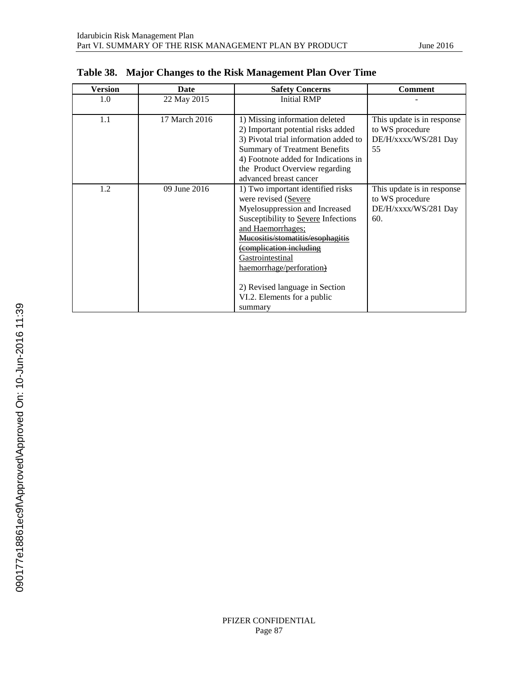| Version | Date          | <b>Safety Concerns</b>                                                                                                                                                                                                                                                                                                                           | <b>Comment</b>                                                               |
|---------|---------------|--------------------------------------------------------------------------------------------------------------------------------------------------------------------------------------------------------------------------------------------------------------------------------------------------------------------------------------------------|------------------------------------------------------------------------------|
| 1.0     | 22 May 2015   | <b>Initial RMP</b>                                                                                                                                                                                                                                                                                                                               |                                                                              |
| 1.1     | 17 March 2016 | 1) Missing information deleted<br>2) Important potential risks added<br>3) Pivotal trial information added to<br><b>Summary of Treatment Benefits</b><br>4) Footnote added for Indications in<br>the Product Overview regarding<br>advanced breast cancer                                                                                        | This update is in response<br>to WS procedure<br>DE/H/xxxx/WS/281 Day<br>55  |
| 1.2     | 09 June 2016  | 1) Two important identified risks<br>were revised (Severe<br>Myelosuppression and Increased<br>Susceptibility to Severe Infections<br>and Haemorrhages;<br>acositis/stomatitis/esophagitis<br>complication including<br>Gastrointestinal<br>haemorrhage/perforation)<br>2) Revised language in Section<br>VI.2. Elements for a public<br>summary | This update is in response<br>to WS procedure<br>DE/H/xxxx/WS/281 Day<br>60. |

<span id="page-4-0"></span>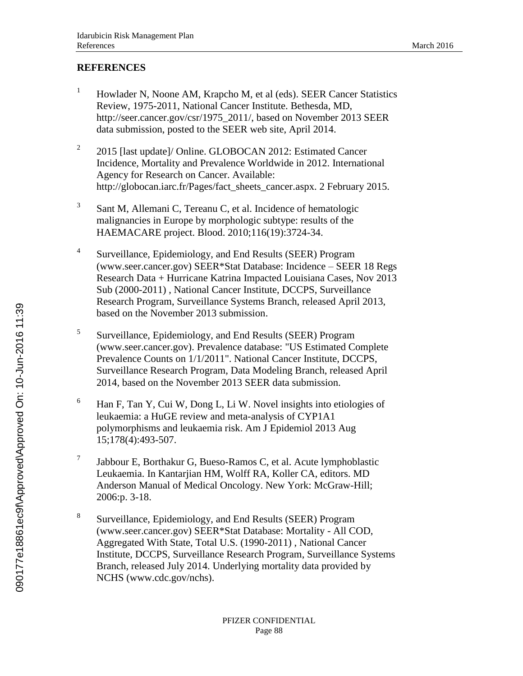# **REFERENCES**

- <sup>1</sup> Howlader N, Noone AM, Krapcho M, et al (eds). SEER Cancer Statistics Review, 1975-2011, National Cancer Institute. Bethesda, MD, http://seer.cancer.gov/csr/1975\_2011/, based on November 2013 SEER data submission, posted to the SEER web site, April 2014.
- 2 2015 [last update]/ Online. GLOBOCAN 2012: Estimated Cancer Incidence, Mortality and Prevalence Worldwide in 2012. International Agency for Research on Cancer. Available: http://globocan.iarc.fr/Pages/fact\_sheets\_cancer.aspx. 2 February 2015.
- 3 Sant M, Allemani C, Tereanu C, et al. Incidence of hematologic malignancies in Europe by morphologic subtype: results of the HAEMACARE project. Blood. 2010;116(19):3724-34.
- 4 Surveillance, Epidemiology, and End Results (SEER) Program (www.seer.cancer.gov) SEER\*Stat Database: Incidence – SEER 18 Regs Research Data + Hurricane Katrina Impacted Louisiana Cases, Nov 2013 Sub (2000-2011) , National Cancer Institute, DCCPS, Surveillance Research Program, Surveillance Systems Branch, released April 2013, based on the November 2013 submission.
- 5 Surveillance, Epidemiology, and End Results (SEER) Program (www.seer.cancer.gov). Prevalence database: "US Estimated Complete Prevalence Counts on 1/1/2011". National Cancer Institute, DCCPS, Surveillance Research Program, Data Modeling Branch, released April 2014, based on the November 2013 SEER data submission.
- <sup>6</sup> Han F, Tan Y, Cui W, Dong L, Li W. Novel insights into etiologies of leukaemia: a HuGE review and meta-analysis of CYP1A1 polymorphisms and leukaemia risk. Am J Epidemiol 2013 Aug 15;178(4):493-507.
- 7 Jabbour E, Borthakur G, Bueso-Ramos C, et al. Acute lymphoblastic Leukaemia. In Kantarjian HM, Wolff RA, Koller CA, editors. MD Anderson Manual of Medical Oncology. New York: McGraw-Hill; 2006:p. 3-18.
- 8 Surveillance, Epidemiology, and End Results (SEER) Program (www.seer.cancer.gov) SEER\*Stat Database: Mortality - All COD, Aggregated With State, Total U.S. (1990-2011) , National Cancer Institute, DCCPS, Surveillance Research Program, Surveillance Systems Branch, released July 2014. Underlying mortality data provided by NCHS (www.cdc.gov/nchs).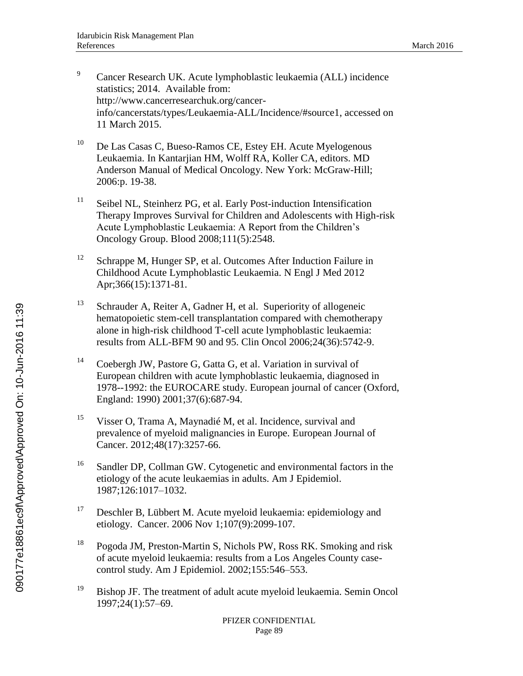- <sup>9</sup> Cancer Research UK. Acute lymphoblastic leukaemia (ALL) incidence statistics; 2014. Available from: http://www.cancerresearchuk.org/cancerinfo/cancerstats/types/Leukaemia-ALL/Incidence/#source1, accessed on 11 March 2015.
- <sup>10</sup> De Las Casas C, Bueso-Ramos CE, Estey EH. Acute Myelogenous Leukaemia. In Kantarjian HM, Wolff RA, Koller CA, editors. MD Anderson Manual of Medical Oncology. New York: McGraw-Hill; 2006:p. 19-38.
- <sup>11</sup> Seibel NL, Steinherz PG, et al. Early Post-induction Intensification Therapy Improves Survival for Children and Adolescents with High-risk Acute Lymphoblastic Leukaemia: A Report from the Children's Oncology Group. Blood 2008;111(5):2548.
- <sup>12</sup> Schrappe M, Hunger SP, et al. Outcomes After Induction Failure in Childhood Acute Lymphoblastic Leukaemia. N Engl J Med 2012 Apr;366(15):1371-81.
- $13$  Schrauder A, Reiter A, Gadner H, et al. Superiority of allogeneic hematopoietic stem-cell transplantation compared with chemotherapy alone in high-risk childhood T-cell acute lymphoblastic leukaemia: results from ALL-BFM 90 and 95. Clin Oncol 2006;24(36):5742-9.
- <sup>14</sup> Coebergh JW, Pastore G, Gatta G, et al. Variation in survival of European children with acute lymphoblastic leukaemia, diagnosed in 1978--1992: the EUROCARE study. European journal of cancer (Oxford, England: 1990) 2001;37(6):687-94.
- <sup>15</sup> Visser O, Trama A, Maynadié M, et al. Incidence, survival and prevalence of myeloid malignancies in Europe. European Journal of Cancer. 2012;48(17):3257-66.
- <sup>16</sup> Sandler DP, Collman GW. Cytogenetic and environmental factors in the etiology of the acute leukaemias in adults. Am J Epidemiol. 1987;126:1017–1032.
- $17$  Deschler B, Lübbert M. Acute myeloid leukaemia: epidemiology and etiology. Cancer. 2006 Nov 1;107(9):2099-107.
- <sup>18</sup> Pogoda JM, Preston-Martin S, Nichols PW, Ross RK. Smoking and risk of acute myeloid leukaemia: results from a Los Angeles County casecontrol study. Am J Epidemiol. 2002;155:546–553.
- <sup>19</sup> Bishop JF. The treatment of adult acute myeloid leukaemia. Semin Oncol 1997;24(1):57–69.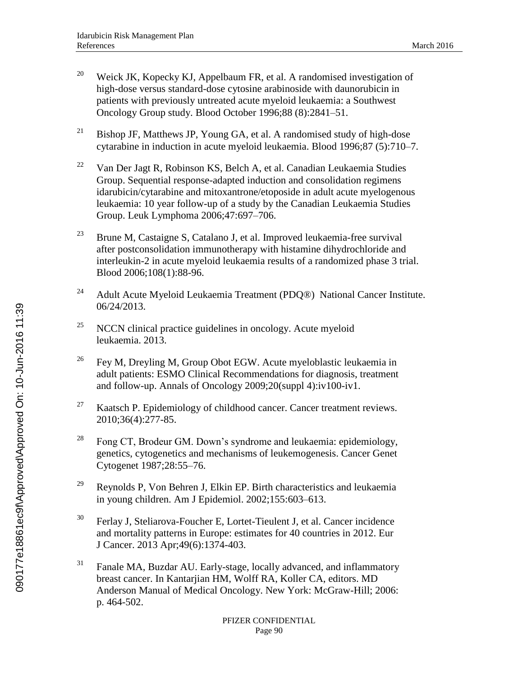- <sup>20</sup> Weick JK, Kopecky KJ, Appelbaum FR, et al. A randomised investigation of high-dose versus standard-dose cytosine arabinoside with daunorubicin in patients with previously untreated acute myeloid leukaemia: a Southwest Oncology Group study. Blood October 1996;88 (8):2841–51.
- <sup>21</sup> Bishop JF, Matthews JP, Young GA, et al. A randomised study of high-dose cytarabine in induction in acute myeloid leukaemia. Blood 1996;87 (5):710–7.
- <sup>22</sup> Van Der Jagt R, Robinson KS, Belch A, et al. Canadian Leukaemia Studies Group. Sequential response-adapted induction and consolidation regimens idarubicin/cytarabine and mitoxantrone/etoposide in adult acute myelogenous leukaemia: 10 year follow-up of a study by the Canadian Leukaemia Studies Group. Leuk Lymphoma 2006;47:697–706.
- <sup>23</sup> Brune M, Castaigne S, Catalano J, et al. Improved leukaemia-free survival after postconsolidation immunotherapy with histamine dihydrochloride and interleukin-2 in acute myeloid leukaemia results of a randomized phase 3 trial. Blood 2006;108(1):88-96.
- <sup>24</sup> Adult Acute Myeloid Leukaemia Treatment (PDQ®) National Cancer Institute. 06/24/2013.
- $25$  NCCN clinical practice guidelines in oncology. Acute myeloid leukaemia. 2013.
- <sup>26</sup> Fey M, Dreyling M, Group Obot EGW. Acute myeloblastic leukaemia in adult patients: ESMO Clinical Recommendations for diagnosis, treatment and follow-up. Annals of Oncology 2009;20(suppl 4):iv100-iv1.
- $27$  Kaatsch P. Epidemiology of childhood cancer. Cancer treatment reviews. 2010;36(4):277-85.
- <sup>28</sup> Fong CT, Brodeur GM, Down's syndrome and leukaemia: epidemiology, genetics, cytogenetics and mechanisms of leukemogenesis. Cancer Genet Cytogenet 1987;28:55–76.
- $29$  Reynolds P, Von Behren J, Elkin EP. Birth characteristics and leukaemia in young children. Am J Epidemiol. 2002;155:603–613.
- $30$  Ferlay J, Steliarova-Foucher E, Lortet-Tieulent J, et al. Cancer incidence and mortality patterns in Europe: estimates for 40 countries in 2012. Eur J Cancer. 2013 Apr;49(6):1374-403.
- <sup>31</sup> Fanale MA, Buzdar AU. Early-stage, locally advanced, and inflammatory breast cancer. In Kantarjian HM, Wolff RA, Koller CA, editors. MD Anderson Manual of Medical Oncology. New York: McGraw-Hill; 2006: p. 464-502.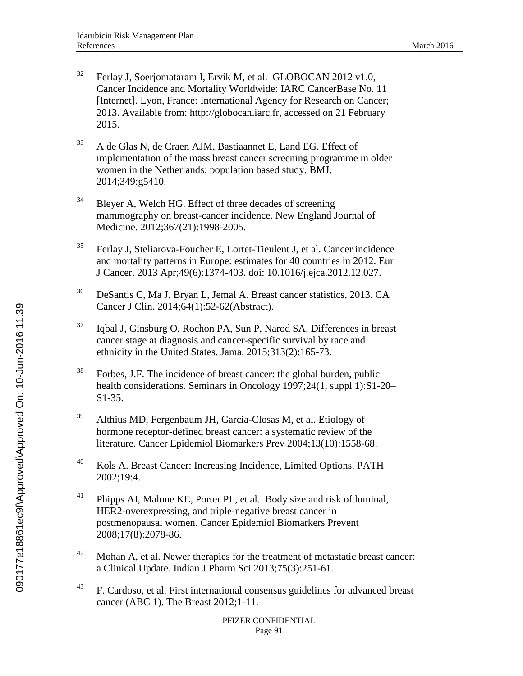- $32$  Ferlay J, Soerjomataram I, Ervik M, et al. GLOBOCAN 2012 v1.0, Cancer Incidence and Mortality Worldwide: IARC CancerBase No. 11 [Internet]. Lyon, France: International Agency for Research on Cancer; 2013. Available from: http://globocan.iarc.fr, accessed on 21 February 2015.
- <sup>33</sup> A de Glas N, de Craen AJM, Bastiaannet E, Land EG. Effect of implementation of the mass breast cancer screening programme in older women in the Netherlands: population based study. BMJ. 2014;349:g5410.
- $34$  Bleyer A, Welch HG. Effect of three decades of screening mammography on breast-cancer incidence. New England Journal of Medicine. 2012;367(21):1998-2005.
- $35$  Ferlay J, Steliarova-Foucher E, Lortet-Tieulent J, et al. Cancer incidence and mortality patterns in Europe: estimates for 40 countries in 2012. Eur J Cancer. 2013 Apr;49(6):1374-403. doi: 10.1016/j.ejca.2012.12.027.
- <sup>36</sup> DeSantis C, Ma J, Bryan L, Jemal A. Breast cancer statistics, 2013. CA Cancer J Clin. 2014;64(1):52-62(Abstract).
- <sup>37</sup> Iqbal J, Ginsburg O, Rochon PA, Sun P, Narod SA. Differences in breast cancer stage at diagnosis and cancer-specific survival by race and ethnicity in the United States. Jama. 2015;313(2):165-73.
- $38$  Forbes, J.F. The incidence of breast cancer: the global burden, public health considerations. Seminars in Oncology 1997;24(1, suppl 1):S1-20– S1-35.
- $39$  Althius MD, Fergenbaum JH, Garcia-Closas M, et al. Etiology of hormone receptor-defined breast cancer: a systematic review of the literature. Cancer Epidemiol Biomarkers Prev 2004;13(10):1558-68.
- <sup>40</sup> Kols A. Breast Cancer: Increasing Incidence, Limited Options. PATH 2002;19:4.
- $41$  Phipps AI, Malone KE, Porter PL, et al. Body size and risk of luminal, HER2-overexpressing, and triple-negative breast cancer in postmenopausal women. Cancer Epidemiol Biomarkers Prevent 2008;17(8):2078-86.
- $42$  Mohan A, et al. Newer therapies for the treatment of metastatic breast cancer: a Clinical Update. Indian J Pharm Sci 2013;75(3):251-61.
- <sup>43</sup> F. Cardoso, et al. First international consensus guidelines for advanced breast cancer (ABC 1). The Breast 2012;1-11.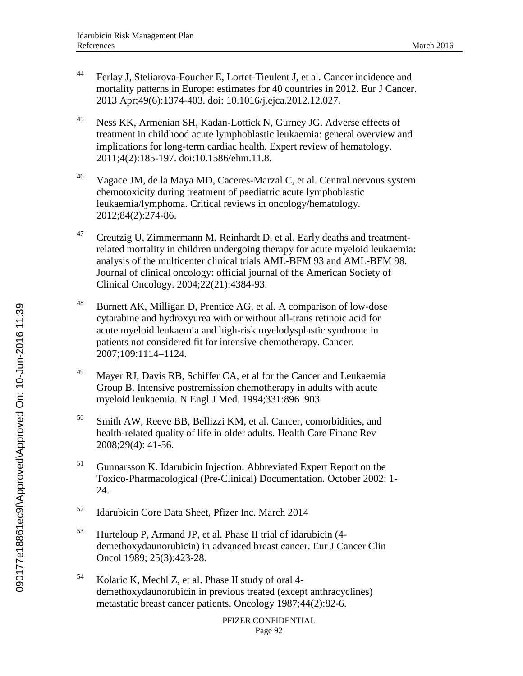- <sup>44</sup> Ferlay J, Steliarova-Foucher E, Lortet-Tieulent J, et al. Cancer incidence and mortality patterns in Europe: estimates for 40 countries in 2012. Eur J Cancer. 2013 Apr;49(6):1374-403. doi: 10.1016/j.ejca.2012.12.027.
- <sup>45</sup> Ness KK, Armenian SH, Kadan-Lottick N, Gurney JG. Adverse effects of treatment in childhood acute lymphoblastic leukaemia: general overview and implications for long-term cardiac health. Expert review of hematology. 2011;4(2):185-197. doi:10.1586/ehm.11.8.
- $^{46}$  Vagace JM, de la Maya MD, Caceres-Marzal C, et al. Central nervous system chemotoxicity during treatment of paediatric acute lymphoblastic leukaemia/lymphoma. Critical reviews in oncology/hematology. 2012;84(2):274-86.
- $47$  Creutzig U, Zimmermann M, Reinhardt D, et al. Early deaths and treatmentrelated mortality in children undergoing therapy for acute myeloid leukaemia: analysis of the multicenter clinical trials AML-BFM 93 and AML-BFM 98. Journal of clinical oncology: official journal of the American Society of Clinical Oncology. 2004;22(21):4384-93.
- <sup>48</sup> Burnett AK, Milligan D, Prentice AG, et al. A comparison of low-dose cytarabine and hydroxyurea with or without all-trans retinoic acid for acute myeloid leukaemia and high-risk myelodysplastic syndrome in patients not considered fit for intensive chemotherapy. Cancer. 2007;109:1114–1124.
- <sup>49</sup> Mayer RJ, Davis RB, Schiffer CA, et al for the Cancer and Leukaemia Group B. Intensive postremission chemotherapy in adults with acute myeloid leukaemia. N Engl J Med. 1994;331:896–903
- <sup>50</sup> Smith AW, Reeve BB, Bellizzi KM, et al. Cancer, comorbidities, and health-related quality of life in older adults. Health Care Financ Rev 2008;29(4): 41-56.
- <sup>51</sup> Gunnarsson K. Idarubicin Injection: Abbreviated Expert Report on the Toxico-Pharmacological (Pre-Clinical) Documentation. October 2002: 1- 24.
- <sup>52</sup> Idarubicin Core Data Sheet, Pfizer Inc. March 2014
- <sup>53</sup> Hurteloup P, Armand JP, et al. Phase II trial of idarubicin (4 demethoxydaunorubicin) in advanced breast cancer. Eur J Cancer Clin Oncol 1989; 25(3):423-28.
- <sup>54</sup> Kolaric K, Mechl Z, et al. Phase II study of oral 4 demethoxydaunorubicin in previous treated (except anthracyclines) metastatic breast cancer patients. Oncology 1987;44(2):82-6.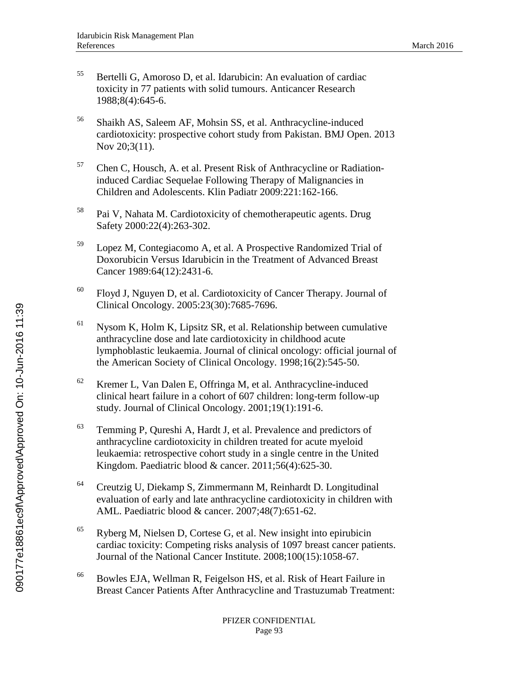- <sup>55</sup> Bertelli G, Amoroso D, et al. Idarubicin: An evaluation of cardiac toxicity in 77 patients with solid tumours. Anticancer Research 1988;8(4):645-6.
- <sup>56</sup> Shaikh AS, Saleem AF, Mohsin SS, et al. Anthracycline-induced cardiotoxicity: prospective cohort study from Pakistan. BMJ Open. 2013 Nov 20;3(11).
- <sup>57</sup> Chen C, Housch, A. et al. Present Risk of Anthracycline or Radiationinduced Cardiac Sequelae Following Therapy of Malignancies in Children and Adolescents. Klin Padiatr 2009:221:162-166.
- <sup>58</sup> Pai V, Nahata M. Cardiotoxicity of chemotherapeutic agents. Drug Safety 2000:22(4):263-302.
- <sup>59</sup> Lopez M, Contegiacomo A, et al. A Prospective Randomized Trial of Doxorubicin Versus Idarubicin in the Treatment of Advanced Breast Cancer 1989:64(12):2431-6.
- $60$  Floyd J, Nguyen D, et al. Cardiotoxicity of Cancer Therapy. Journal of Clinical Oncology. 2005:23(30):7685-7696.
- $61$  Nysom K, Holm K, Lipsitz SR, et al. Relationship between cumulative anthracycline dose and late cardiotoxicity in childhood acute lymphoblastic leukaemia. Journal of clinical oncology: official journal of the American Society of Clinical Oncology. 1998;16(2):545-50.
- $62$  Kremer L, Van Dalen E, Offringa M, et al. Anthracycline-induced clinical heart failure in a cohort of 607 children: long-term follow-up study. Journal of Clinical Oncology. 2001;19(1):191-6.
- $63$  Temming P, Qureshi A, Hardt J, et al. Prevalence and predictors of anthracycline cardiotoxicity in children treated for acute myeloid leukaemia: retrospective cohort study in a single centre in the United Kingdom. Paediatric blood & cancer. 2011;56(4):625-30.
- <sup>64</sup> Creutzig U, Diekamp S, Zimmermann M, Reinhardt D. Longitudinal evaluation of early and late anthracycline cardiotoxicity in children with AML. Paediatric blood & cancer. 2007;48(7):651-62.
- $65$  Ryberg M, Nielsen D, Cortese G, et al. New insight into epirubicin cardiac toxicity: Competing risks analysis of 1097 breast cancer patients. Journal of the National Cancer Institute. 2008;100(15):1058-67.
- <sup>66</sup> Bowles EJA, Wellman R, Feigelson HS, et al. Risk of Heart Failure in Breast Cancer Patients After Anthracycline and Trastuzumab Treatment: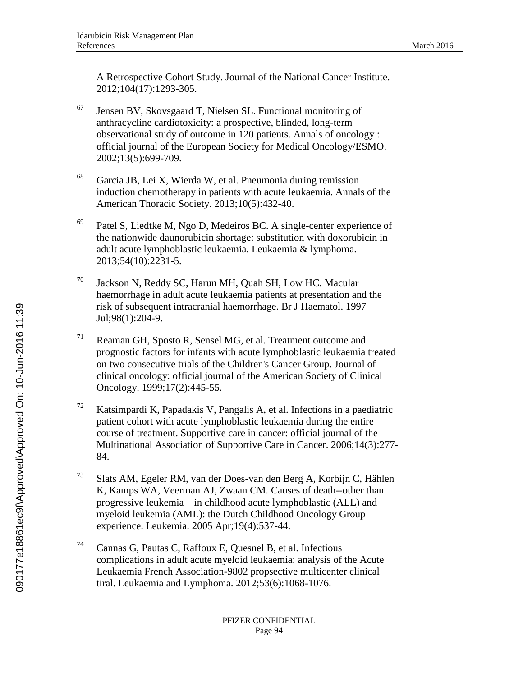A Retrospective Cohort Study. Journal of the National Cancer Institute. 2012;104(17):1293-305.

- $67$  Jensen BV, Skovsgaard T, Nielsen SL. Functional monitoring of anthracycline cardiotoxicity: a prospective, blinded, long-term observational study of outcome in 120 patients. Annals of oncology : official journal of the European Society for Medical Oncology/ESMO. 2002;13(5):699-709.
- <sup>68</sup> Garcia JB, Lei X, Wierda W, et al. Pneumonia during remission induction chemotherapy in patients with acute leukaemia. Annals of the American Thoracic Society. 2013;10(5):432-40.
- $69$  Patel S, Liedtke M, Ngo D, Medeiros BC. A single-center experience of the nationwide daunorubicin shortage: substitution with doxorubicin in adult acute lymphoblastic leukaemia. Leukaemia & lymphoma. 2013;54(10):2231-5.
- <sup>70</sup> Jackson N, Reddy SC, Harun MH, Quah SH, Low HC. Macular haemorrhage in adult acute leukaemia patients at presentation and the risk of subsequent intracranial haemorrhage. Br J Haematol. 1997 Jul;98(1):204-9.
- $71$  Reaman GH, Sposto R, Sensel MG, et al. Treatment outcome and prognostic factors for infants with acute lymphoblastic leukaemia treated on two consecutive trials of the Children's Cancer Group. Journal of clinical oncology: official journal of the American Society of Clinical Oncology. 1999;17(2):445-55.
- <sup>72</sup> Katsimpardi K, Papadakis V, Pangalis A, et al. Infections in a paediatric patient cohort with acute lymphoblastic leukaemia during the entire course of treatment. Supportive care in cancer: official journal of the Multinational Association of Supportive Care in Cancer. 2006;14(3):277- 84.
- <sup>73</sup> Slats AM, Egeler RM, van der Does-van den Berg A, Korbijn C, Hählen K, Kamps WA, Veerman AJ, Zwaan CM. Causes of death--other than progressive leukemia—in childhood acute lymphoblastic (ALL) and myeloid leukemia (AML): the Dutch Childhood Oncology Group experience. Leukemia. 2005 Apr;19(4):537-44.
- <sup>74</sup> Cannas G, Pautas C, Raffoux E, Quesnel B, et al. Infectious complications in adult acute myeloid leukaemia: analysis of the Acute Leukaemia French Association-9802 propsective multicenter clinical tiral. Leukaemia and Lymphoma. 2012;53(6):1068-1076.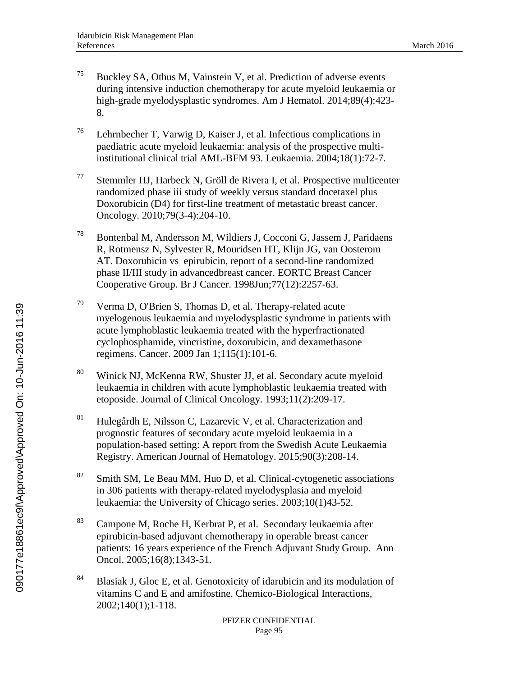- <sup>75</sup> Buckley SA, Othus M, Vainstein V, et al. Prediction of adverse events during intensive induction chemotherapy for acute myeloid leukaemia or high-grade myelodysplastic syndromes. Am J Hematol. 2014;89(4):423- 8.
- <sup>76</sup> Lehrnbecher T, Varwig D, Kaiser J, et al. Infectious complications in paediatric acute myeloid leukaemia: analysis of the prospective multiinstitutional clinical trial AML-BFM 93. Leukaemia. 2004;18(1):72-7.
- <sup>77</sup> Stemmler HJ, Harbeck N, Gröll de Rivera I, et al. Prospective multicenter randomized phase iii study of weekly versus standard docetaxel plus Doxorubicin (D4) for first-line treatment of metastatic breast cancer. Oncology. 2010;79(3-4):204-10.
- <sup>78</sup> Bontenbal M, Andersson M, Wildiers J, Cocconi G, Jassem J, Paridaens R, Rotmensz N, Sylvester R, Mouridsen HT, Klijn JG, van Oosterom AT. Doxorubicin vs epirubicin, report of a second-line randomized phase II/III study in advancedbreast cancer. EORTC Breast Cancer Cooperative Group. Br J Cancer. 1998Jun;77(12):2257-63.
- $79$  Verma D, O'Brien S, Thomas D, et al. Therapy-related acute myelogenous leukaemia and myelodysplastic syndrome in patients with acute lymphoblastic leukaemia treated with the hyperfractionated cyclophosphamide, vincristine, doxorubicin, and dexamethasone regimens. Cancer. 2009 Jan 1;115(1):101-6.
- <sup>80</sup> Winick NJ, McKenna RW, Shuster JJ, et al. Secondary acute myeloid leukaemia in children with acute lymphoblastic leukaemia treated with etoposide. Journal of Clinical Oncology. 1993;11(2):209-17.
- <sup>81</sup> Hulegårdh E, Nilsson C, Lazarevic V, et al. Characterization and prognostic features of secondary acute myeloid leukaemia in a population-based setting: A report from the Swedish Acute Leukaemia Registry. American Journal of Hematology. 2015;90(3):208-14.
- $82$  Smith SM, Le Beau MM, Huo D, et al. Clinical-cytogenetic associations in 306 patients with therapy-related myelodysplasia and myeloid leukaemia: the University of Chicago series. 2003;10(1)43-52.
- <sup>83</sup> Campone M, Roche H, Kerbrat P, et al. Secondary leukaemia after epirubicin-based adjuvant chemotherapy in operable breast cancer patients: 16 years experience of the French Adjuvant Study Group. Ann Oncol. 2005;16(8);1343-51.
- 84 Blasiak J, Gloc E, et al. Genotoxicity of idarubicin and its modulation of vitamins C and E and amifostine. Chemico-Biological Interactions, 2002;140(1);1-118.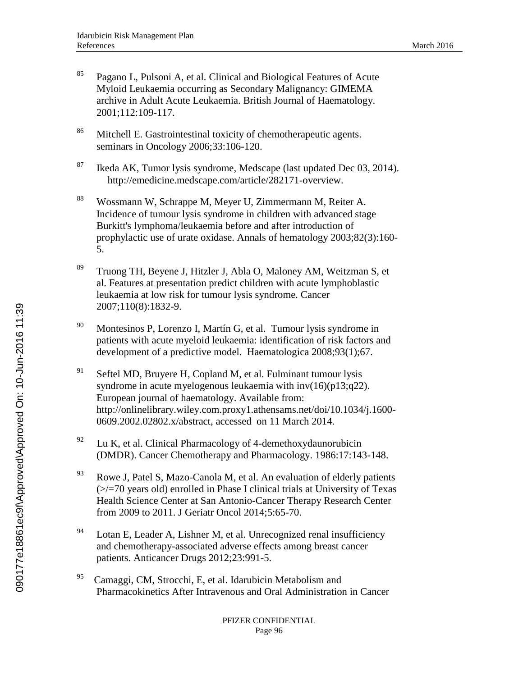- $85$  Pagano L, Pulsoni A, et al. Clinical and Biological Features of Acute Myloid Leukaemia occurring as Secondary Malignancy: GIMEMA archive in Adult Acute Leukaemia. British Journal of Haematology. 2001;112:109-117.
- <sup>86</sup> Mitchell E. Gastrointestinal toxicity of chemotherapeutic agents. seminars in Oncology 2006;33:106-120.
- $87$  Ikeda AK, Tumor lysis syndrome, Medscape (last updated Dec 03, 2014). http://emedicine.medscape.com/article/282171-overview.
- <sup>88</sup> Wossmann W, Schrappe M, Meyer U, Zimmermann M, Reiter A. Incidence of tumour lysis syndrome in children with advanced stage Burkitt's lymphoma/leukaemia before and after introduction of prophylactic use of urate oxidase. Annals of hematology 2003;82(3):160- 5.
- <sup>89</sup> Truong TH, Beyene J, Hitzler J, Abla O, Maloney AM, Weitzman S, et al. Features at presentation predict children with acute lymphoblastic leukaemia at low risk for tumour lysis syndrome. Cancer 2007;110(8):1832-9.
- <sup>90</sup> Montesinos P, Lorenzo I, Martín G, et al. Tumour lysis syndrome in patients with acute myeloid leukaemia: identification of risk factors and development of a predictive model. Haematologica 2008;93(1);67.
- $91$  Seftel MD, Bruyere H, Copland M, et al. Fulminant tumour lysis syndrome in acute myelogenous leukaemia with inv(16)(p13;q22). European journal of haematology. Available from: http://onlinelibrary.wiley.com.proxy1.athensams.net/doi/10.1034/j.1600- 0609.2002.02802.x/abstract, accessed on 11 March 2014.
- 92 Lu K, et al. Clinical Pharmacology of 4-demethoxydaunorubicin (DMDR). Cancer Chemotherapy and Pharmacology. 1986:17:143-148.
- <sup>93</sup> Rowe J, Patel S, Mazo-Canola M, et al. An evaluation of elderly patients  $\ge$   $\ge$  70 years old) enrolled in Phase I clinical trials at University of Texas Health Science Center at San Antonio-Cancer Therapy Research Center from 2009 to 2011. J Geriatr Oncol 2014;5:65-70.
- $94$  Lotan E, Leader A, Lishner M, et al. Unrecognized renal insufficiency and chemotherapy-associated adverse effects among breast cancer patients. Anticancer Drugs 2012;23:991-5.
- 95 Camaggi, CM, Strocchi, E, et al. Idarubicin Metabolism and Pharmacokinetics After Intravenous and Oral Administration in Cancer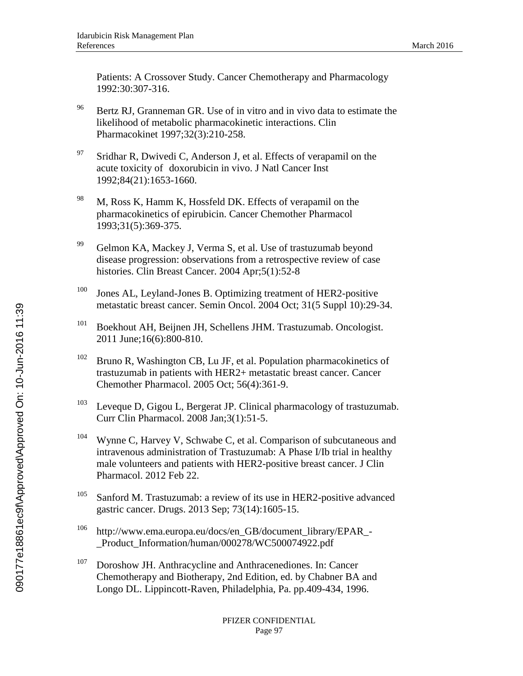Patients: A Crossover Study. Cancer Chemotherapy and Pharmacology 1992:30:307-316.

- <sup>96</sup> Bertz RJ, Granneman GR. Use of in vitro and in vivo data to estimate the likelihood of metabolic pharmacokinetic interactions. Clin Pharmacokinet 1997;32(3):210-258.
- $97$  Sridhar R, Dwivedi C, Anderson J, et al. Effects of verapamil on the acute toxicity of doxorubicin in vivo. J Natl Cancer Inst 1992;84(21):1653-1660.
- $^{98}$  M, Ross K, Hamm K, Hossfeld DK. Effects of verapamil on the pharmacokinetics of epirubicin. Cancer Chemother Pharmacol 1993;31(5):369-375.
- <sup>99</sup> Gelmon KA, Mackey J, Verma S, et al. Use of trastuzumab beyond disease progression: observations from a retrospective review of case histories. Clin Breast Cancer. 2004 Apr;5(1):52-8
- $100$  Jones AL, Leyland-Jones B. Optimizing treatment of HER2-positive metastatic breast cancer. Semin Oncol. 2004 Oct; 31(5 Suppl 10):29-34.
- <sup>101</sup> Boekhout AH, Beijnen JH, Schellens JHM. Trastuzumab. Oncologist. 2011 June;16(6):800-810.
- $102$  Bruno R, Washington CB, Lu JF, et al. Population pharmacokinetics of trastuzumab in patients with HER2+ metastatic breast cancer. Cancer Chemother Pharmacol. 2005 Oct; 56(4):361-9.
- <sup>103</sup> Leveque D, Gigou L, Bergerat JP. Clinical pharmacology of trastuzumab. Curr Clin Pharmacol. 2008 Jan;3(1):51-5.
- <sup>104</sup> Wynne C, Harvey V, Schwabe C, et al. Comparison of subcutaneous and intravenous administration of Trastuzumab: A Phase I/Ib trial in healthy male volunteers and patients with HER2-positive breast cancer. J Clin Pharmacol. 2012 Feb 22.
- <sup>105</sup> Sanford M. Trastuzumab: a review of its use in HER2-positive advanced gastric cancer. Drugs. 2013 Sep; 73(14):1605-15.
- <sup>106</sup> http://www.ema.europa.eu/docs/en\_GB/document\_library/EPAR\_- \_Product\_Information/human/000278/WC500074922.pdf
- <sup>107</sup> Doroshow JH. Anthracycline and Anthracenediones. In: Cancer Chemotherapy and Biotherapy, 2nd Edition, ed. by Chabner BA and Longo DL. Lippincott-Raven, Philadelphia, Pa. pp.409-434, 1996.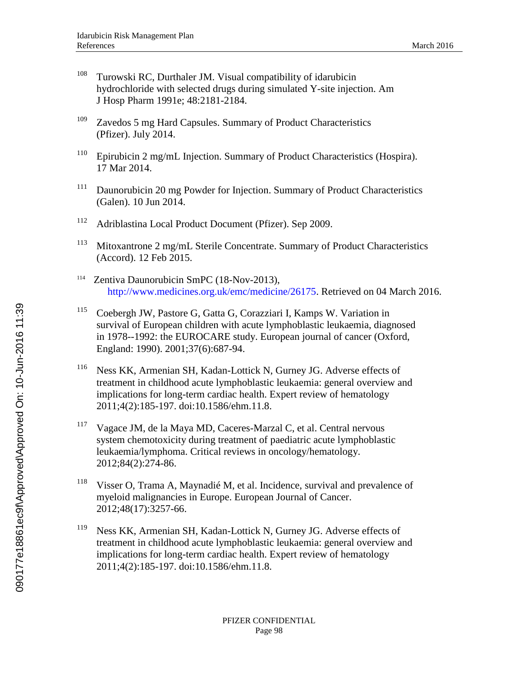- <sup>108</sup> Turowski RC, Durthaler JM. Visual compatibility of idarubicin hydrochloride with selected drugs during simulated Y-site injection. Am J Hosp Pharm 1991e; 48:2181-2184.
- $109$  Zavedos 5 mg Hard Capsules. Summary of Product Characteristics (Pfizer). July 2014.
- <sup>110</sup> Epirubicin 2 mg/mL Injection. Summary of Product Characteristics (Hospira). 17 Mar 2014.
- <sup>111</sup> Daunorubicin 20 mg Powder for Injection. Summary of Product Characteristics (Galen). 10 Jun 2014.
- <sup>112</sup> Adriblastina Local Product Document (Pfizer). Sep 2009.
- <sup>113</sup> Mitoxantrone 2 mg/mL Sterile Concentrate. Summary of Product Characteristics (Accord). 12 Feb 2015.
- 114 Zentiva Daunorubicin SmPC (18-Nov-2013), [http://www.medicines.org.uk/emc/medicine/26175.](http://www.medicines.org.uk/emc/medicine/26175) Retrieved on 04 March 2016.
- <sup>115</sup> Coebergh JW, Pastore G, Gatta G, Corazziari I, Kamps W. Variation in survival of European children with acute lymphoblastic leukaemia, diagnosed in 1978--1992: the EUROCARE study. European journal of cancer (Oxford, England: 1990). 2001;37(6):687-94.
- <sup>116</sup> Ness KK, Armenian SH, Kadan-Lottick N, Gurney JG. Adverse effects of treatment in childhood acute lymphoblastic leukaemia: general overview and implications for long-term cardiac health. Expert review of hematology 2011;4(2):185-197. doi:10.1586/ehm.11.8.
- <sup>117</sup> Vagace JM, de la Maya MD, Caceres-Marzal C, et al. Central nervous system chemotoxicity during treatment of paediatric acute lymphoblastic leukaemia/lymphoma. Critical reviews in oncology/hematology. 2012;84(2):274-86.
- <sup>118</sup> Visser O, Trama A, Maynadié M, et al. Incidence, survival and prevalence of myeloid malignancies in Europe. European Journal of Cancer. 2012;48(17):3257-66.
- <sup>119</sup> Ness KK, Armenian SH, Kadan-Lottick N, Gurney JG. Adverse effects of treatment in childhood acute lymphoblastic leukaemia: general overview and implications for long-term cardiac health. Expert review of hematology 2011;4(2):185-197. doi:10.1586/ehm.11.8.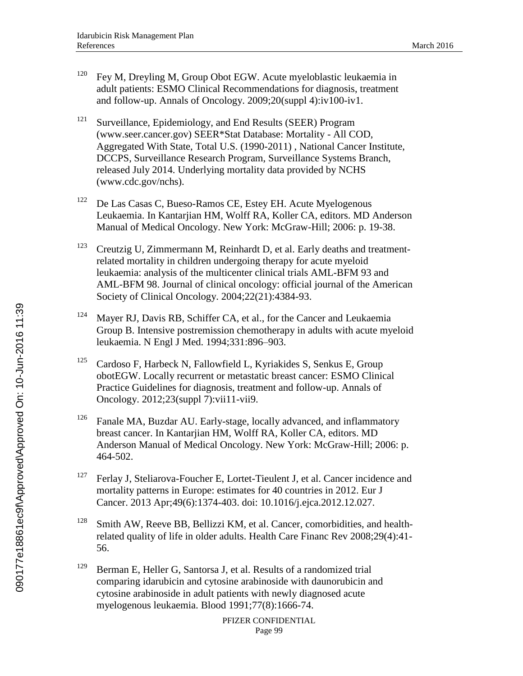- $120$  Fey M, Dreyling M, Group Obot EGW. Acute myeloblastic leukaemia in adult patients: ESMO Clinical Recommendations for diagnosis, treatment and follow-up. Annals of Oncology. 2009;20(suppl 4):iv100-iv1.
- <sup>121</sup> Surveillance, Epidemiology, and End Results (SEER) Program (www.seer.cancer.gov) SEER\*Stat Database: Mortality - All COD, Aggregated With State, Total U.S. (1990-2011) , National Cancer Institute, DCCPS, Surveillance Research Program, Surveillance Systems Branch, released July 2014. Underlying mortality data provided by NCHS (www.cdc.gov/nchs).
- $122$  De Las Casas C, Bueso-Ramos CE, Estey EH. Acute Myelogenous Leukaemia. In Kantarjian HM, Wolff RA, Koller CA, editors. MD Anderson Manual of Medical Oncology. New York: McGraw-Hill; 2006: p. 19-38.
- <sup>123</sup> Creutzig U, Zimmermann M, Reinhardt D, et al. Early deaths and treatmentrelated mortality in children undergoing therapy for acute myeloid leukaemia: analysis of the multicenter clinical trials AML-BFM 93 and AML-BFM 98. Journal of clinical oncology: official journal of the American Society of Clinical Oncology. 2004;22(21):4384-93.
- <sup>124</sup> Mayer RJ, Davis RB, Schiffer CA, et al., for the Cancer and Leukaemia Group B. Intensive postremission chemotherapy in adults with acute myeloid leukaemia. N Engl J Med. 1994;331:896–903.
- <sup>125</sup> Cardoso F, Harbeck N, Fallowfield L, Kyriakides S, Senkus E, Group obotEGW. Locally recurrent or metastatic breast cancer: ESMO Clinical Practice Guidelines for diagnosis, treatment and follow-up. Annals of Oncology. 2012;23(suppl 7):vii11-vii9.
- <sup>126</sup> Fanale MA, Buzdar AU. Early-stage, locally advanced, and inflammatory breast cancer. In Kantarjian HM, Wolff RA, Koller CA, editors. MD Anderson Manual of Medical Oncology. New York: McGraw-Hill; 2006: p. 464-502.
- $127$  Ferlay J, Steliarova-Foucher E, Lortet-Tieulent J, et al. Cancer incidence and mortality patterns in Europe: estimates for 40 countries in 2012. Eur J Cancer. 2013 Apr;49(6):1374-403. doi: 10.1016/j.ejca.2012.12.027.
- <sup>128</sup> Smith AW, Reeve BB, Bellizzi KM, et al. Cancer, comorbidities, and healthrelated quality of life in older adults. Health Care Financ Rev 2008;29(4):41- 56.
- <sup>129</sup> Berman E, Heller G, Santorsa J, et al. Results of a randomized trial comparing idarubicin and cytosine arabinoside with daunorubicin and cytosine arabinoside in adult patients with newly diagnosed acute myelogenous leukaemia. Blood 1991;77(8):1666-74.